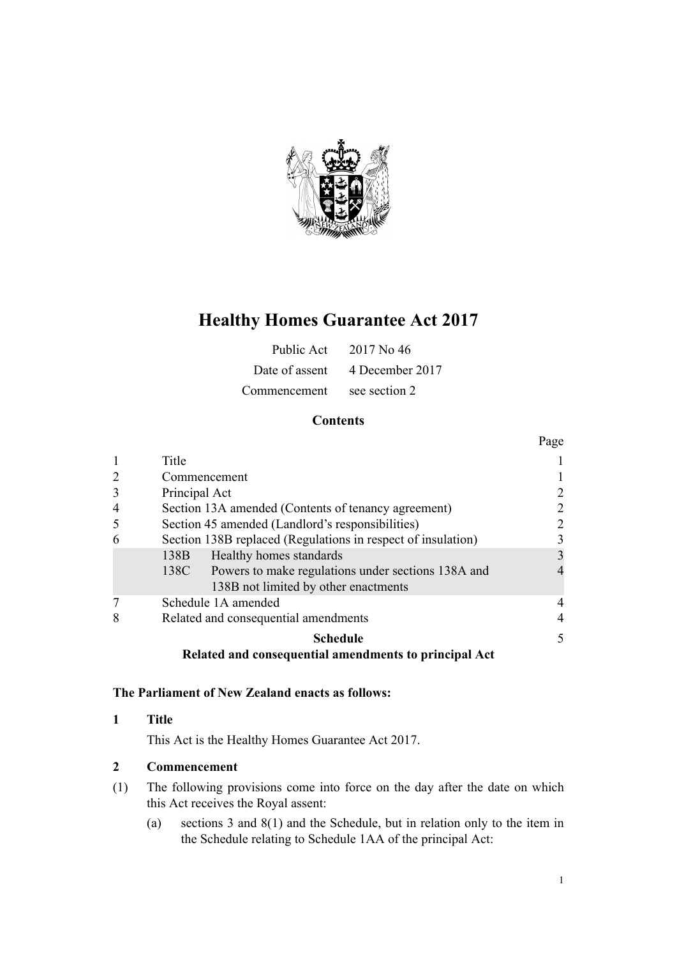

# **Healthy Homes Guarantee Act 2017**

| Public Act   | 2017 No. 46                    |
|--------------|--------------------------------|
|              | Date of assent 4 December 2017 |
| Commencement | see section 2                  |

## **Contents**

|                |                                                              | Page |
|----------------|--------------------------------------------------------------|------|
| 1              | Title                                                        |      |
| 2              | Commencement                                                 |      |
| 3              | Principal Act                                                |      |
| $\overline{4}$ | Section 13A amended (Contents of tenancy agreement)<br>2     |      |
| 5              | Section 45 amended (Landlord's responsibilities)<br>2        |      |
| 6              | Section 138B replaced (Regulations in respect of insulation) | 3    |
|                | Healthy homes standards<br>138B                              | 3    |
|                | 138C Powers to make regulations under sections 138A and      |      |
|                | 138B not limited by other enactments                         |      |
|                | Schedule 1A amended                                          |      |
| 8              | Related and consequential amendments                         |      |
|                | <b>Schedule</b>                                              | 5    |
|                | Related and consequential amendments to principal Act        |      |

## **The Parliament of New Zealand enacts as follows:**

## **1 Title**

This Act is the Healthy Homes Guarantee Act 2017.

## **2 Commencement**

- (1) The following provisions come into force on the day after the date on which this Act receives the Royal assent:
	- (a) [sections 3](#page-1-0) and [8\(1\)](#page-3-0) and the [Schedule](#page-4-0), but in relation only to the item in the Schedule relating to [Schedule 1AA](http://prd-lgnz-nlb.prd.pco.net.nz/pdflink.aspx?id=DLM6866582) of the principal Act: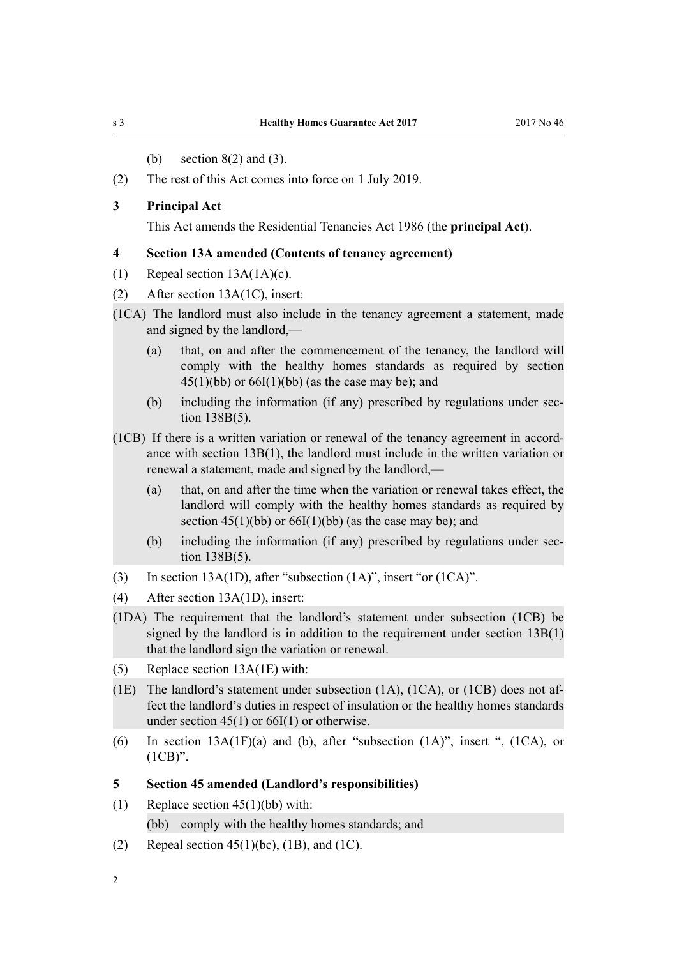- (b) [section 8\(2\) and \(3\).](#page-3-0)
- <span id="page-1-0"></span>(2) The rest of this Act comes into force on 1 July 2019.

#### **3 Principal Act**

This Act amends the [Residential Tenancies Act 1986](http://prd-lgnz-nlb.prd.pco.net.nz/pdflink.aspx?id=DLM94277) (the **principal Act**).

#### **4 Section 13A amended (Contents of tenancy agreement)**

- (1) Repeal [section 13A\(1A\)\(c\).](http://prd-lgnz-nlb.prd.pco.net.nz/pdflink.aspx?id=DLM95024)
- (2) After [section 13A\(1C\),](http://prd-lgnz-nlb.prd.pco.net.nz/pdflink.aspx?id=DLM95024) insert:
- (1CA) The landlord must also include in the tenancy agreement a statement, made and signed by the landlord,—
	- (a) that, on and after the commencement of the tenancy, the landlord will comply with the healthy homes standards as required by section  $45(1)(bb)$  or  $66I(1)(bb)$  (as the case may be); and
	- (b) including the information (if any) prescribed by regulations under section 138B(5).
- (1CB) If there is a written variation or renewal of the tenancy agreement in accordance with section 13B(1), the landlord must include in the written variation or renewal a statement, made and signed by the landlord,—
	- (a) that, on and after the time when the variation or renewal takes effect, the landlord will comply with the healthy homes standards as required by section  $45(1)(bb)$  or  $66I(1)(bb)$  (as the case may be); and
	- (b) including the information (if any) prescribed by regulations under section 138B(5).
- (3) In [section 13A\(1D\),](http://prd-lgnz-nlb.prd.pco.net.nz/pdflink.aspx?id=DLM95024) after "subsection (1A)", insert "or (1CA)".
- (4) After [section 13A\(1D\)](http://prd-lgnz-nlb.prd.pco.net.nz/pdflink.aspx?id=DLM95024), insert:
- (1DA) The requirement that the landlord's statement under subsection (1CB) be signed by the landlord is in addition to the requirement under section 13B(1) that the landlord sign the variation or renewal.
- (5) Replace [section 13A\(1E\)](http://prd-lgnz-nlb.prd.pco.net.nz/pdflink.aspx?id=DLM95024) with:
- (1E) The landlord's statement under subsection (1A), (1CA), or (1CB) does not affect the landlord's duties in respect of insulation or the healthy homes standards under section 45(1) or 66I(1) or otherwise.
- (6) In section  $13A(1F)(a)$  and (b), after "subsection  $(1A)$ ", insert ",  $(1CA)$ , or (1CB)".

#### **5 Section 45 amended (Landlord's responsibilities)**

- (1) Replace [section 45\(1\)\(bb\)](http://prd-lgnz-nlb.prd.pco.net.nz/pdflink.aspx?id=DLM95099) with:
	- (bb) comply with the healthy homes standards; and
- (2) Repeal section  $45(1)(bc)$ , (1B), and (1C).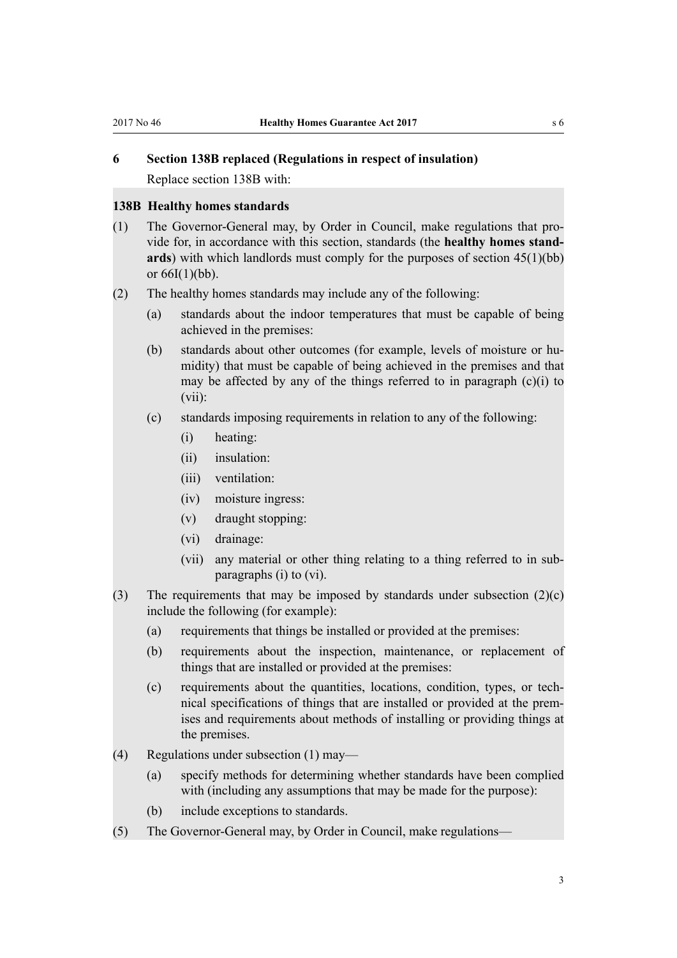## <span id="page-2-0"></span>**6 Section 138B replaced (Regulations in respect of insulation)**

Replace [section 138B](http://prd-lgnz-nlb.prd.pco.net.nz/pdflink.aspx?id=DLM6866586) with:

#### **138B Healthy homes standards**

- (1) The Governor-General may, by Order in Council, make regulations that provide for, in accordance with this section, standards (the **healthy homes standards**) with which landlords must comply for the purposes of section 45(1)(bb) or  $66I(1)(bb)$ .
- (2) The healthy homes standards may include any of the following:
	- (a) standards about the indoor temperatures that must be capable of being achieved in the premises:
	- (b) standards about other outcomes (for example, levels of moisture or humidity) that must be capable of being achieved in the premises and that may be affected by any of the things referred to in paragraph (c)(i) to (vii):
	- (c) standards imposing requirements in relation to any of the following:
		- (i) heating:
		- (ii) insulation:
		- (iii) ventilation:
		- (iv) moisture ingress:
		- (v) draught stopping:
		- (vi) drainage:
		- (vii) any material or other thing relating to a thing referred to in subparagraphs (i) to (vi).
- (3) The requirements that may be imposed by standards under subsection (2)(c) include the following (for example):
	- (a) requirements that things be installed or provided at the premises:
	- (b) requirements about the inspection, maintenance, or replacement of things that are installed or provided at the premises:
	- (c) requirements about the quantities, locations, condition, types, or technical specifications of things that are installed or provided at the premises and requirements about methods of installing or providing things at the premises.
- (4) Regulations under subsection (1) may—
	- (a) specify methods for determining whether standards have been complied with (including any assumptions that may be made for the purpose):
	- (b) include exceptions to standards.
- (5) The Governor-General may, by Order in Council, make regulations—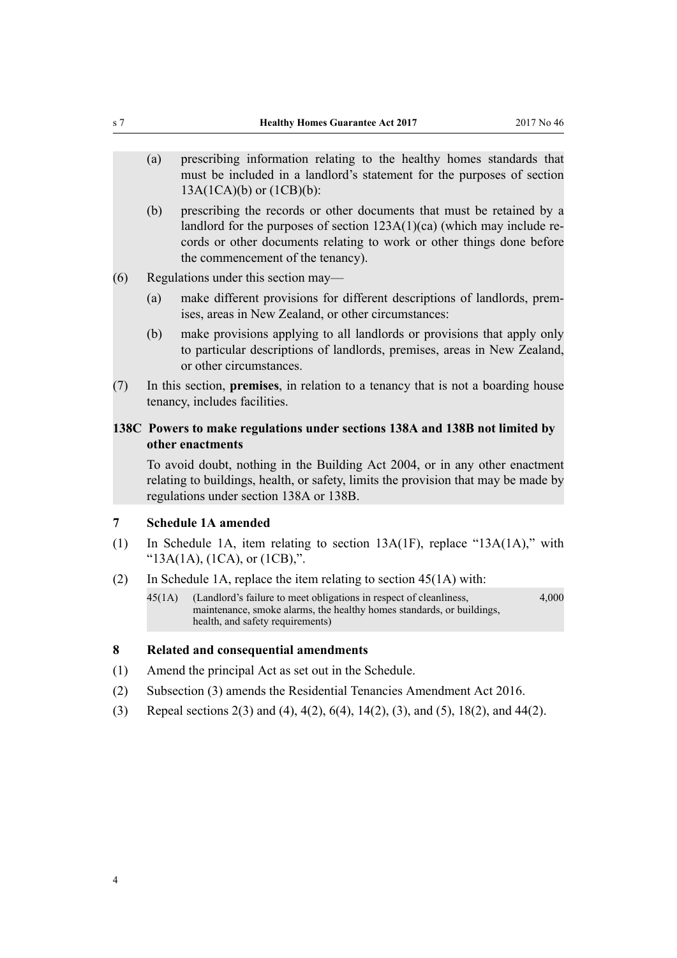- <span id="page-3-0"></span>(a) prescribing information relating to the healthy homes standards that must be included in a landlord's statement for the purposes of section 13A(1CA)(b) or (1CB)(b):
- (b) prescribing the records or other documents that must be retained by a landlord for the purposes of section 123A(1)(ca) (which may include records or other documents relating to work or other things done before the commencement of the tenancy).
- (6) Regulations under this section may—
	- (a) make different provisions for different descriptions of landlords, premises, areas in New Zealand, or other circumstances:
	- (b) make provisions applying to all landlords or provisions that apply only to particular descriptions of landlords, premises, areas in New Zealand, or other circumstances.
- (7) In this section, **premises**, in relation to a tenancy that is not a boarding house tenancy, includes facilities.

#### **138C Powers to make regulations under sections 138A and 138B not limited by other enactments**

To avoid doubt, nothing in the Building Act 2004, or in any other enactment relating to buildings, health, or safety, limits the provision that may be made by regulations under section 138A or 138B.

### **7 Schedule 1A amended**

- (1) In [Schedule 1A](http://prd-lgnz-nlb.prd.pco.net.nz/pdflink.aspx?id=DLM3285790), item relating to section 13A(1F), replace "13A(1A)," with " $13A(1A)$ ,  $(1CA)$ , or  $(1CB)$ ,".
- (2) In [Schedule 1A,](http://prd-lgnz-nlb.prd.pco.net.nz/pdflink.aspx?id=DLM3285790) replace the item relating to section 45(1A) with:
	- 45(1A) (Landlord's failure to meet obligations in respect of cleanliness, maintenance, smoke alarms, the healthy homes standards, or buildings, health, and safety requirements) 4,000

#### **8 Related and consequential amendments**

- (1) Amend the principal Act as set out in the [Schedule.](#page-4-0)
- (2) Subsection (3) amends the [Residential Tenancies Amendment Act 2016](http://prd-lgnz-nlb.prd.pco.net.nz/pdflink.aspx?id=DLM6681403).
- (3) Repeal [sections 2\(3\) and \(4\),](http://prd-lgnz-nlb.prd.pco.net.nz/pdflink.aspx?id=DLM94283) [4\(2\),](http://prd-lgnz-nlb.prd.pco.net.nz/pdflink.aspx?id=DLM94899) [6\(4\),](http://prd-lgnz-nlb.prd.pco.net.nz/pdflink.aspx?id=DLM95005) [14\(2\), \(3\), and \(5\)](http://prd-lgnz-nlb.prd.pco.net.nz/pdflink.aspx?id=DLM95032), [18\(2\),](http://prd-lgnz-nlb.prd.pco.net.nz/pdflink.aspx?id=DLM95041) and [44\(2\).](http://prd-lgnz-nlb.prd.pco.net.nz/pdflink.aspx?id=DLM95097)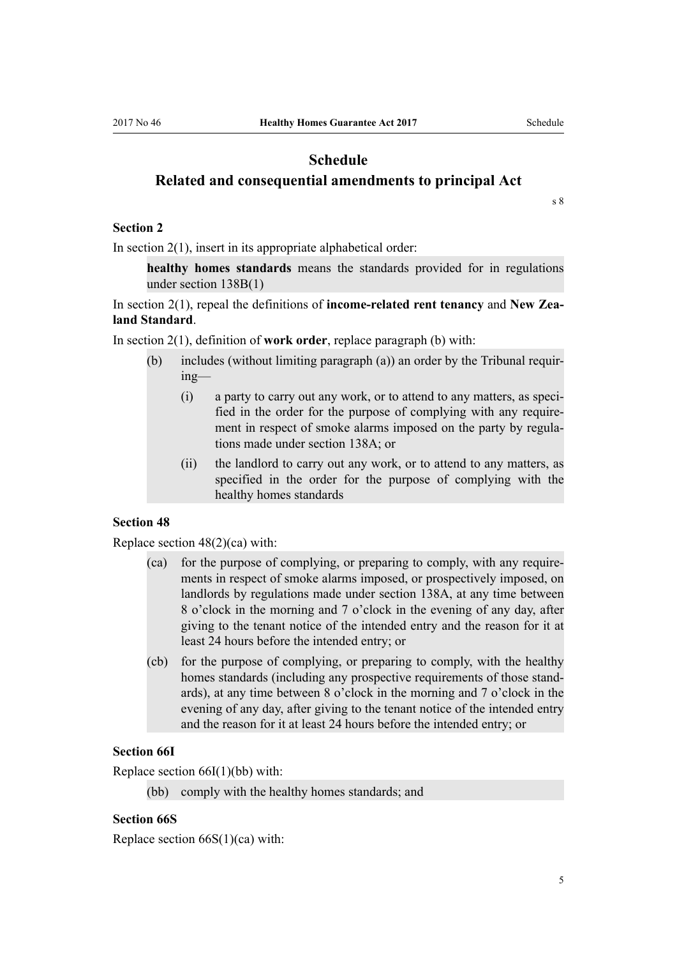## <span id="page-4-0"></span>**Schedule Related and consequential amendments to principal Act**

[s 8](#page-3-0)

#### **Section 2**

In section  $2(1)$ , insert in its appropriate alphabetical order:

**healthy homes standards** means the standards provided for in regulations under section 138B(1)

In [section 2\(1\)](http://prd-lgnz-nlb.prd.pco.net.nz/pdflink.aspx?id=DLM94283), repeal the definitions of **income-related rent tenancy** and **New Zealand Standard**.

In [section 2\(1\)](http://prd-lgnz-nlb.prd.pco.net.nz/pdflink.aspx?id=DLM94283), definition of **work order**, replace paragraph (b) with:

- (b) includes (without limiting paragraph (a)) an order by the Tribunal requiring—
	- (i) a party to carry out any work, or to attend to any matters, as specified in the order for the purpose of complying with any requirement in respect of smoke alarms imposed on the party by regulations made under section 138A; or
	- (ii) the landlord to carry out any work, or to attend to any matters, as specified in the order for the purpose of complying with the healthy homes standards

#### **Section 48**

Replace [section 48\(2\)\(ca\)](http://prd-lgnz-nlb.prd.pco.net.nz/pdflink.aspx?id=DLM95504) with:

- (ca) for the purpose of complying, or preparing to comply, with any requirements in respect of smoke alarms imposed, or prospectively imposed, on landlords by regulations made under section 138A, at any time between 8 o'clock in the morning and 7 o'clock in the evening of any day, after giving to the tenant notice of the intended entry and the reason for it at least 24 hours before the intended entry; or
- (cb) for the purpose of complying, or preparing to comply, with the healthy homes standards (including any prospective requirements of those standards), at any time between 8 o'clock in the morning and 7 o'clock in the evening of any day, after giving to the tenant notice of the intended entry and the reason for it at least 24 hours before the intended entry; or

#### **Section 66I**

Replace [section 66I\(1\)\(bb\)](http://prd-lgnz-nlb.prd.pco.net.nz/pdflink.aspx?id=DLM3283910) with:

(bb) comply with the healthy homes standards; and

#### **Section 66S**

Replace [section 66S\(1\)\(ca\)](http://prd-lgnz-nlb.prd.pco.net.nz/pdflink.aspx?id=DLM3283922) with: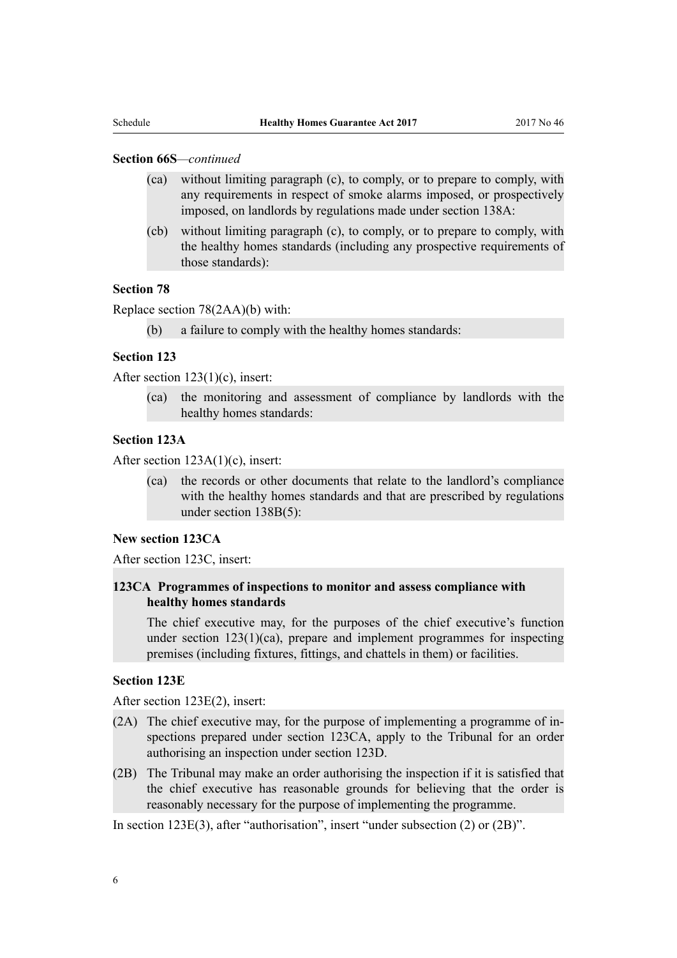#### **Section 66S***—continued*

- (ca) without limiting paragraph (c), to comply, or to prepare to comply, with any requirements in respect of smoke alarms imposed, or prospectively imposed, on landlords by regulations made under section 138A:
- (cb) without limiting paragraph (c), to comply, or to prepare to comply, with the healthy homes standards (including any prospective requirements of those standards):

#### **Section 78**

Replace [section 78\(2AA\)\(b\)](http://prd-lgnz-nlb.prd.pco.net.nz/pdflink.aspx?id=DLM95580) with:

(b) a failure to comply with the healthy homes standards:

#### **Section 123**

After [section 123\(1\)\(c\)](http://prd-lgnz-nlb.prd.pco.net.nz/pdflink.aspx?id=DLM95965), insert:

(ca) the monitoring and assessment of compliance by landlords with the healthy homes standards:

#### **Section 123A**

After [section 123A\(1\)\(c\),](http://prd-lgnz-nlb.prd.pco.net.nz/pdflink.aspx?id=DLM6895256) insert:

(ca) the records or other documents that relate to the landlord's compliance with the healthy homes standards and that are prescribed by regulations under section 138B(5):

#### **New section 123CA**

After [section 123C,](http://prd-lgnz-nlb.prd.pco.net.nz/pdflink.aspx?id=DLM6896077) insert:

#### **123CA Programmes of inspections to monitor and assess compliance with healthy homes standards**

The chief executive may, for the purposes of the chief executive's function under section  $123(1)(ca)$ , prepare and implement programmes for inspecting premises (including fixtures, fittings, and chattels in them) or facilities.

#### **Section 123E**

After [section 123E\(2\)](http://prd-lgnz-nlb.prd.pco.net.nz/pdflink.aspx?id=DLM6895261), insert:

- (2A) The chief executive may, for the purpose of implementing a programme of inspections prepared under section 123CA, apply to the Tribunal for an order authorising an inspection under section 123D.
- (2B) The Tribunal may make an order authorising the inspection if it is satisfied that the chief executive has reasonable grounds for believing that the order is reasonably necessary for the purpose of implementing the programme.

In [section 123E\(3\),](http://prd-lgnz-nlb.prd.pco.net.nz/pdflink.aspx?id=DLM6895261) after "authorisation", insert "under subsection (2) or (2B)".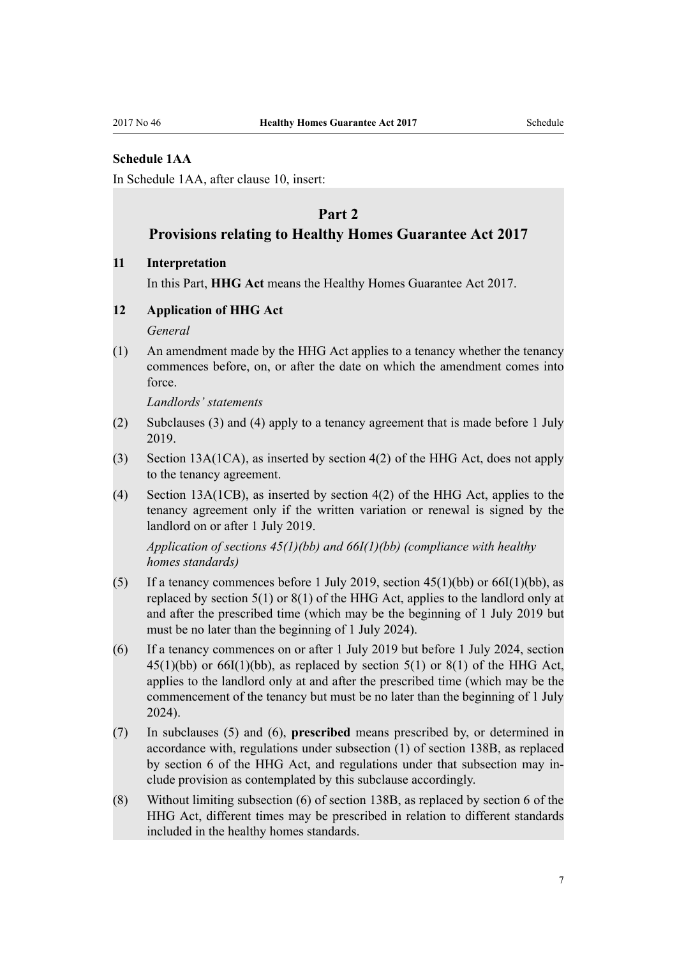#### **Schedule 1AA**

In [Schedule 1AA](http://prd-lgnz-nlb.prd.pco.net.nz/pdflink.aspx?id=DLM6866582), after clause 10, insert:

# **Part 2**

## **Provisions relating to Healthy Homes Guarantee Act 2017**

#### **11 Interpretation**

In this Part, **HHG Act** means the Healthy Homes Guarantee Act 2017.

#### **12 Application of HHG Act**

*General*

(1) An amendment made by the HHG Act applies to a tenancy whether the tenancy commences before, on, or after the date on which the amendment comes into force.

*Landlords' statements*

- (2) Subclauses (3) and (4) apply to a tenancy agreement that is made before 1 July 2019.
- (3) Section 13A(1CA), as inserted by section 4(2) of the HHG Act, does not apply to the tenancy agreement.
- (4) Section 13A(1CB), as inserted by section 4(2) of the HHG Act, applies to the tenancy agreement only if the written variation or renewal is signed by the landlord on or after 1 July 2019.

*Application of sections 45(1)(bb) and 66I(1)(bb) (compliance with healthy homes standards)*

- (5) If a tenancy commences before 1 July 2019, section  $45(1)(bb)$  or  $66I(1)(bb)$ , as replaced by section 5(1) or 8(1) of the HHG Act, applies to the landlord only at and after the prescribed time (which may be the beginning of 1 July 2019 but must be no later than the beginning of 1 July 2024).
- (6) If a tenancy commences on or after 1 July 2019 but before 1 July 2024, section  $45(1)(bb)$  or  $66I(1)(bb)$ , as replaced by section  $5(1)$  or  $8(1)$  of the HHG Act, applies to the landlord only at and after the prescribed time (which may be the commencement of the tenancy but must be no later than the beginning of 1 July 2024).
- (7) In subclauses (5) and (6), **prescribed** means prescribed by, or determined in accordance with, regulations under subsection (1) of section 138B, as replaced by section 6 of the HHG Act, and regulations under that subsection may include provision as contemplated by this subclause accordingly.
- (8) Without limiting subsection (6) of section 138B, as replaced by section 6 of the HHG Act, different times may be prescribed in relation to different standards included in the healthy homes standards.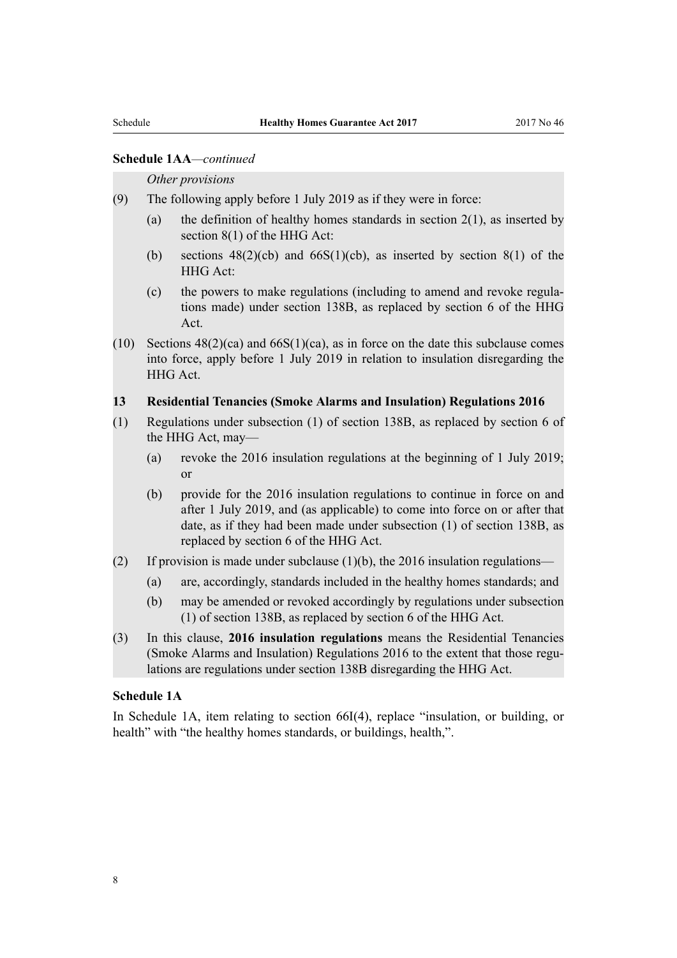#### **Schedule 1AA***—continued*

#### *Other provisions*

(9) The following apply before 1 July 2019 as if they were in force:

- (a) the definition of healthy homes standards in section  $2(1)$ , as inserted by section 8(1) of the HHG Act:
- (b) sections  $48(2)(cb)$  and  $66S(1)(cb)$ , as inserted by section  $8(1)$  of the HHG Act:
- (c) the powers to make regulations (including to amend and revoke regulations made) under section 138B, as replaced by section 6 of the HHG Act.
- (10) Sections  $48(2)(ca)$  and  $66S(1)(ca)$ , as in force on the date this subclause comes into force, apply before 1 July 2019 in relation to insulation disregarding the HHG Act.

#### **13 Residential Tenancies (Smoke Alarms and Insulation) Regulations 2016**

- (1) Regulations under subsection (1) of section 138B, as replaced by section 6 of the HHG Act, may—
	- (a) revoke the 2016 insulation regulations at the beginning of 1 July 2019; or
	- (b) provide for the 2016 insulation regulations to continue in force on and after 1 July 2019, and (as applicable) to come into force on or after that date, as if they had been made under subsection (1) of section 138B, as replaced by section 6 of the HHG Act.
- (2) If provision is made under subclause  $(1)(b)$ , the 2016 insulation regulations—
	- (a) are, accordingly, standards included in the healthy homes standards; and
	- (b) may be amended or revoked accordingly by regulations under subsection (1) of section 138B, as replaced by section 6 of the HHG Act.
- (3) In this clause, **2016 insulation regulations** means the Residential Tenancies (Smoke Alarms and Insulation) Regulations 2016 to the extent that those regulations are regulations under section 138B disregarding the HHG Act.

#### **Schedule 1A**

In [Schedule 1A,](http://prd-lgnz-nlb.prd.pco.net.nz/pdflink.aspx?id=DLM3285790) item relating to section 66I(4), replace "insulation, or building, or health" with "the healthy homes standards, or buildings, health,".